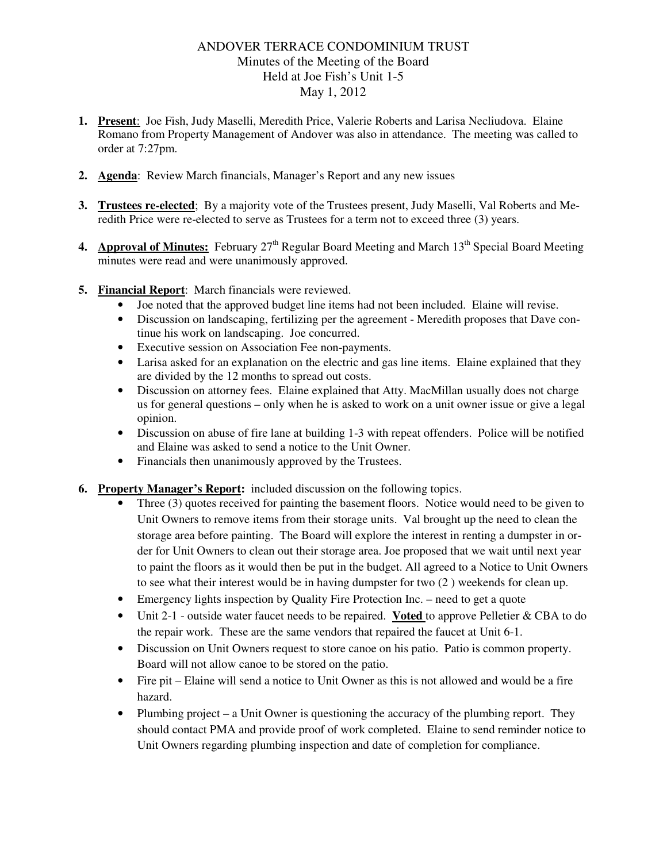## ANDOVER TERRACE CONDOMINIUM TRUST Minutes of the Meeting of the Board Held at Joe Fish's Unit 1-5 May 1, 2012

- **1. Present**: Joe Fish, Judy Maselli, Meredith Price, Valerie Roberts and Larisa Necliudova. Elaine Romano from Property Management of Andover was also in attendance. The meeting was called to order at 7:27pm.
- **2. Agenda**: Review March financials, Manager's Report and any new issues
- **3. Trustees re-elected**; By a majority vote of the Trustees present, Judy Maselli, Val Roberts and Meredith Price were re-elected to serve as Trustees for a term not to exceed three (3) years.
- **4. Approval of Minutes:** February 27<sup>th</sup> Regular Board Meeting and March 13<sup>th</sup> Special Board Meeting minutes were read and were unanimously approved.
- **5. Financial Report**: March financials were reviewed.
	- Joe noted that the approved budget line items had not been included. Elaine will revise.
	- Discussion on landscaping, fertilizing per the agreement Meredith proposes that Dave continue his work on landscaping. Joe concurred.
	- Executive session on Association Fee non-payments.
	- Larisa asked for an explanation on the electric and gas line items. Elaine explained that they are divided by the 12 months to spread out costs.
	- Discussion on attorney fees. Elaine explained that Atty. MacMillan usually does not charge us for general questions – only when he is asked to work on a unit owner issue or give a legal opinion.
	- Discussion on abuse of fire lane at building 1-3 with repeat offenders. Police will be notified and Elaine was asked to send a notice to the Unit Owner.
	- Financials then unanimously approved by the Trustees.
- **6. Property Manager's Report:** included discussion on the following topics.
	- Three (3) quotes received for painting the basement floors. Notice would need to be given to Unit Owners to remove items from their storage units. Val brought up the need to clean the storage area before painting. The Board will explore the interest in renting a dumpster in order for Unit Owners to clean out their storage area. Joe proposed that we wait until next year to paint the floors as it would then be put in the budget. All agreed to a Notice to Unit Owners to see what their interest would be in having dumpster for two (2 ) weekends for clean up.
	- Emergency lights inspection by Quality Fire Protection Inc. need to get a quote
	- Unit 2-1 outside water faucet needs to be repaired. **Voted** to approve Pelletier & CBA to do the repair work. These are the same vendors that repaired the faucet at Unit 6-1.
	- Discussion on Unit Owners request to store canoe on his patio. Patio is common property. Board will not allow canoe to be stored on the patio.
	- Fire pit Elaine will send a notice to Unit Owner as this is not allowed and would be a fire hazard.
	- Plumbing project a Unit Owner is questioning the accuracy of the plumbing report. They should contact PMA and provide proof of work completed. Elaine to send reminder notice to Unit Owners regarding plumbing inspection and date of completion for compliance.